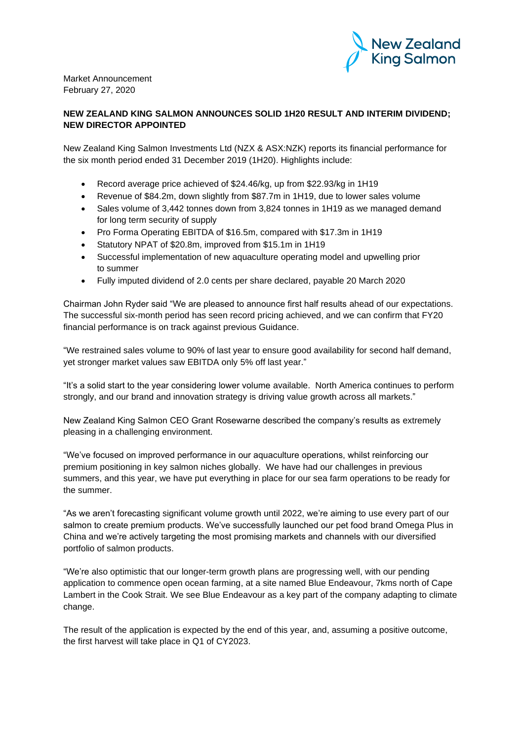

Market Announcement February 27, 2020

## **NEW ZEALAND KING SALMON ANNOUNCES SOLID 1H20 RESULT AND INTERIM DIVIDEND; NEW DIRECTOR APPOINTED**

New Zealand King Salmon Investments Ltd (NZX & ASX:NZK) reports its financial performance for the six month period ended 31 December 2019 (1H20). Highlights include:

- Record average price achieved of \$24.46/kg, up from \$22.93/kg in 1H19
- Revenue of \$84.2m, down slightly from \$87.7m in 1H19, due to lower sales volume
- Sales volume of 3,442 tonnes down from 3,824 tonnes in 1H19 as we managed demand for long term security of supply
- Pro Forma Operating EBITDA of \$16.5m, compared with \$17.3m in 1H19
- Statutory NPAT of \$20.8m, improved from \$15.1m in 1H19
- Successful implementation of new aquaculture operating model and upwelling prior to summer
- Fully imputed dividend of 2.0 cents per share declared, payable 20 March 2020

Chairman John Ryder said "We are pleased to announce first half results ahead of our expectations. The successful six-month period has seen record pricing achieved, and we can confirm that FY20 financial performance is on track against previous Guidance.

"We restrained sales volume to 90% of last year to ensure good availability for second half demand, yet stronger market values saw EBITDA only 5% off last year."

"It's a solid start to the year considering lower volume available. North America continues to perform strongly, and our brand and innovation strategy is driving value growth across all markets."

New Zealand King Salmon CEO Grant Rosewarne described the company's results as extremely pleasing in a challenging environment.

"We've focused on improved performance in our aquaculture operations, whilst reinforcing our premium positioning in key salmon niches globally. We have had our challenges in previous summers, and this year, we have put everything in place for our sea farm operations to be ready for the summer.

"As we aren't forecasting significant volume growth until 2022, we're aiming to use every part of our salmon to create premium products. We've successfully launched our pet food brand Omega Plus in China and we're actively targeting the most promising markets and channels with our diversified portfolio of salmon products.

"We're also optimistic that our longer-term growth plans are progressing well, with our pending application to commence open ocean farming, at a site named Blue Endeavour, 7kms north of Cape Lambert in the Cook Strait. We see Blue Endeavour as a key part of the company adapting to climate change.

The result of the application is expected by the end of this year, and, assuming a positive outcome, the first harvest will take place in Q1 of CY2023.